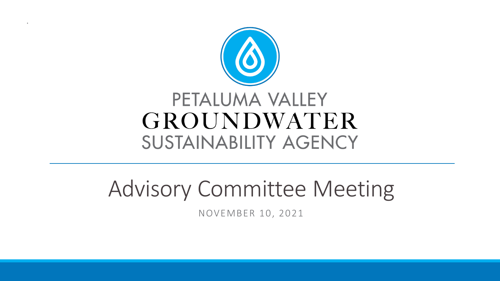

.

# Advisory Committee Meeting

NOVEMBER 10, 2021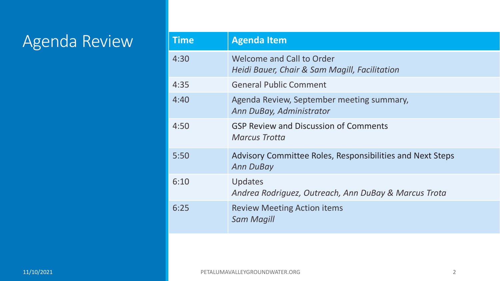## Agenda Review

| <b>Time</b> | <b>Agenda Item</b>                                                            |
|-------------|-------------------------------------------------------------------------------|
| 4:30        | Welcome and Call to Order<br>Heidi Bauer, Chair & Sam Magill, Facilitation    |
| 4:35        | <b>General Public Comment</b>                                                 |
| 4:40        | Agenda Review, September meeting summary,<br>Ann DuBay, Administrator         |
| 4:50        | <b>GSP Review and Discussion of Comments</b><br><b>Marcus Trotta</b>          |
| 5:50        | Advisory Committee Roles, Responsibilities and Next Steps<br><b>Ann DuBay</b> |
| 6:10        | Updates<br>Andrea Rodriguez, Outreach, Ann DuBay & Marcus Trota               |
| 6:25        | <b>Review Meeting Action items</b><br><b>Sam Magill</b>                       |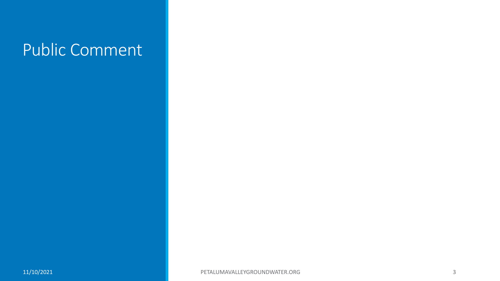## Public Comment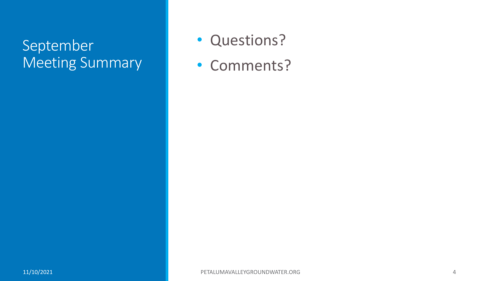### September Meeting Summary

- Questions?
- Comments?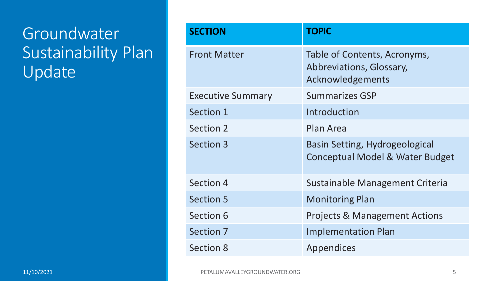## Groundwater Sustainability Plan Update

| <b>SECTION</b>           | <b>TOPIC</b>                                                                 |
|--------------------------|------------------------------------------------------------------------------|
| <b>Front Matter</b>      | Table of Contents, Acronyms,<br>Abbreviations, Glossary,<br>Acknowledgements |
| <b>Executive Summary</b> | <b>Summarizes GSP</b>                                                        |
| Section 1                | Introduction                                                                 |
| Section 2                | Plan Area                                                                    |
| <b>Section 3</b>         | <b>Basin Setting, Hydrogeological</b><br>Conceptual Model & Water Budget     |
| Section 4                | Sustainable Management Criteria                                              |
| <b>Section 5</b>         | <b>Monitoring Plan</b>                                                       |
| Section 6                | <b>Projects &amp; Management Actions</b>                                     |
| Section 7                | <b>Implementation Plan</b>                                                   |
| <b>Section 8</b>         | Appendices                                                                   |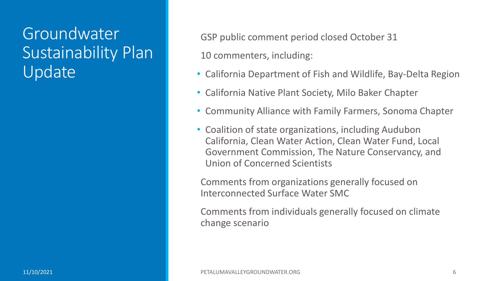### Groundwater Sustainability Plan Update

GSP public comment period closed October 31

10 commenters, including:

- California Department of Fish and Wildlife, Bay-Delta Region
- California Native Plant Society, Milo Baker Chapter
- Community Alliance with Family Farmers, Sonoma Chapter
- Coalition of state organizations, including Audubon California, Clean Water Action, Clean Water Fund, Local Government Commission, The Nature Conservancy, and Union of Concerned Scientists

Comments from organizations generally focused on Interconnected Surface Water SMC

Comments from individuals generally focused on climate change scenario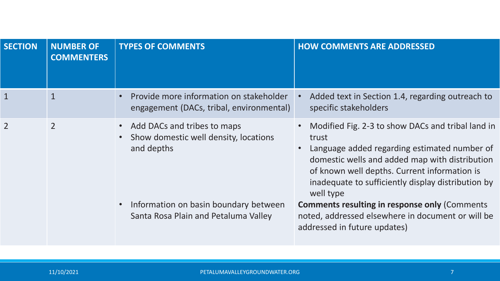| <b>SECTION</b> | <b>NUMBER OF</b><br><b>COMMENTERS</b> | <b>TYPES OF COMMENTS</b>                                                            | <b>HOW COMMENTS ARE ADDRESSED</b>                                                                                                                                                                                                                                               |
|----------------|---------------------------------------|-------------------------------------------------------------------------------------|---------------------------------------------------------------------------------------------------------------------------------------------------------------------------------------------------------------------------------------------------------------------------------|
| $\mathbf{1}$   | $\mathbf{1}$                          | Provide more information on stakeholder<br>engagement (DACs, tribal, environmental) | Added text in Section 1.4, regarding outreach to<br>specific stakeholders                                                                                                                                                                                                       |
| $\overline{2}$ | $\overline{2}$                        | Add DACs and tribes to maps<br>Show domestic well density, locations<br>and depths  | Modified Fig. 2-3 to show DACs and tribal land in<br>trust<br>Language added regarding estimated number of<br>domestic wells and added map with distribution<br>of known well depths. Current information is<br>inadequate to sufficiently display distribution by<br>well type |
|                |                                       | • Information on basin boundary between<br>Santa Rosa Plain and Petaluma Valley     | <b>Comments resulting in response only (Comments)</b><br>noted, addressed elsewhere in document or will be<br>addressed in future updates)                                                                                                                                      |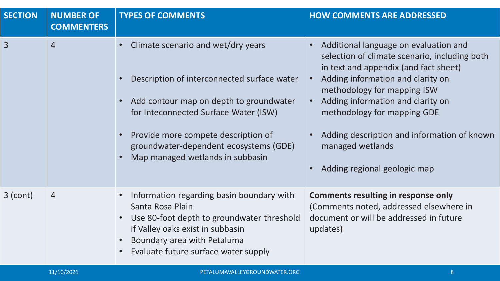| <b>SECTION</b> | <b>NUMBER OF</b><br><b>COMMENTERS</b> | <b>TYPES OF COMMENTS</b>                                                                                                                                                                                                                                                                   | <b>HOW COMMENTS ARE ADDRESSED</b>                                                                                                                                                                                                                                                                                                                                                                                 |
|----------------|---------------------------------------|--------------------------------------------------------------------------------------------------------------------------------------------------------------------------------------------------------------------------------------------------------------------------------------------|-------------------------------------------------------------------------------------------------------------------------------------------------------------------------------------------------------------------------------------------------------------------------------------------------------------------------------------------------------------------------------------------------------------------|
| 3              | $\overline{4}$                        | Climate scenario and wet/dry years<br>Description of interconnected surface water<br>Add contour map on depth to groundwater<br>for Inteconnected Surface Water (ISW)<br>Provide more compete description of<br>groundwater-dependent ecosystems (GDE)<br>Map managed wetlands in subbasin | Additional language on evaluation and<br>$\bullet$<br>selection of climate scenario, including both<br>in text and appendix (and fact sheet)<br>Adding information and clarity on<br>$\bullet$<br>methodology for mapping ISW<br>Adding information and clarity on<br>$\bullet$<br>methodology for mapping GDE<br>Adding description and information of known<br>managed wetlands<br>Adding regional geologic map |
| 3 (cont)       | $\overline{4}$                        | Information regarding basin boundary with<br>Santa Rosa Plain<br>Use 80-foot depth to groundwater threshold<br>$\bullet$<br>if Valley oaks exist in subbasin<br>Boundary area with Petaluma<br>Evaluate future surface water supply                                                        | <b>Comments resulting in response only</b><br>(Comments noted, addressed elsewhere in<br>document or will be addressed in future<br>updates)                                                                                                                                                                                                                                                                      |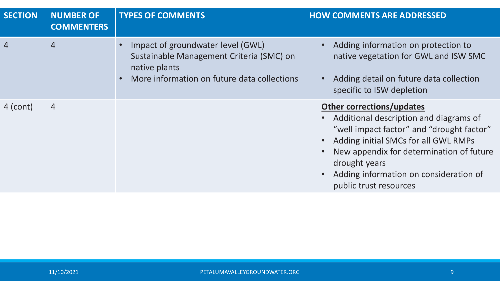| <b>SECTION</b> | <b>NUMBER OF</b><br><b>COMMENTERS</b> | <b>TYPES OF COMMENTS</b>                                                                                                                      | <b>HOW COMMENTS ARE ADDRESSED</b>                                                                                                                                                                                                                                                                |
|----------------|---------------------------------------|-----------------------------------------------------------------------------------------------------------------------------------------------|--------------------------------------------------------------------------------------------------------------------------------------------------------------------------------------------------------------------------------------------------------------------------------------------------|
| $\overline{4}$ | $\overline{4}$                        | Impact of groundwater level (GWL)<br>Sustainable Management Criteria (SMC) on<br>native plants<br>More information on future data collections | Adding information on protection to<br>native vegetation for GWL and ISW SMC<br>Adding detail on future data collection<br>specific to ISW depletion                                                                                                                                             |
| 4 (cont)       | $\overline{4}$                        |                                                                                                                                               | <b>Other corrections/updates</b><br>Additional description and diagrams of<br>"well impact factor" and "drought factor"<br>Adding initial SMCs for all GWL RMPs<br>New appendix for determination of future<br>drought years<br>Adding information on consideration of<br>public trust resources |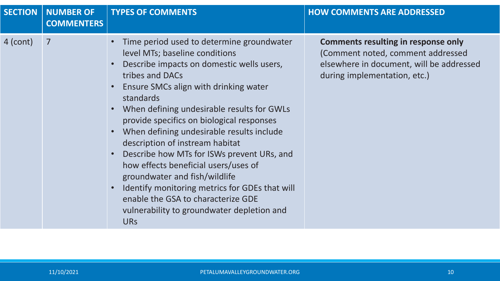| Time period used to determine groundwater<br>4 (cont)<br>$\overline{7}$<br>level MTs; baseline conditions<br>Describe impacts on domestic wells users,<br>tribes and DACs<br>during implementation, etc.)<br>Ensure SMCs align with drinking water<br>standards<br>When defining undesirable results for GWLs<br>provide specifics on biological responses<br>When defining undesirable results include<br>description of instream habitat<br>Describe how MTs for ISWs prevent URs, and<br>how effects beneficial users/uses of<br>groundwater and fish/wildlife | <b>SECTION</b> | <b>NUMBER OF</b><br><b>COMMENTERS</b> | <b>TYPES OF COMMENTS</b>                       | <b>HOW COMMENTS ARE ADDRESSED</b>                                                                                           |
|-------------------------------------------------------------------------------------------------------------------------------------------------------------------------------------------------------------------------------------------------------------------------------------------------------------------------------------------------------------------------------------------------------------------------------------------------------------------------------------------------------------------------------------------------------------------|----------------|---------------------------------------|------------------------------------------------|-----------------------------------------------------------------------------------------------------------------------------|
| enable the GSA to characterize GDE<br>vulnerability to groundwater depletion and<br><b>URS</b>                                                                                                                                                                                                                                                                                                                                                                                                                                                                    |                |                                       | Identify monitoring metrics for GDEs that will | <b>Comments resulting in response only</b><br>(Comment noted, comment addressed<br>elsewhere in document, will be addressed |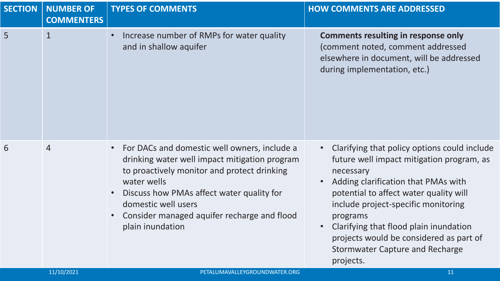| <b>SECTION</b> | <b>NUMBER OF</b><br><b>COMMENTERS</b> | <b>TYPES OF COMMENTS</b>                                                                                                                                                                                                                                                                                                                  | <b>HOW COMMENTS ARE ADDRESSED</b>                                                                                                                                                                                                                                                                                                                                                                   |
|----------------|---------------------------------------|-------------------------------------------------------------------------------------------------------------------------------------------------------------------------------------------------------------------------------------------------------------------------------------------------------------------------------------------|-----------------------------------------------------------------------------------------------------------------------------------------------------------------------------------------------------------------------------------------------------------------------------------------------------------------------------------------------------------------------------------------------------|
| 5              | $\mathbf{1}$                          | Increase number of RMPs for water quality<br>$\bullet$<br>and in shallow aquifer                                                                                                                                                                                                                                                          | <b>Comments resulting in response only</b><br>(comment noted, comment addressed<br>elsewhere in document, will be addressed<br>during implementation, etc.)                                                                                                                                                                                                                                         |
| 6              | $\overline{4}$                        | For DACs and domestic well owners, include a<br>$\bullet$<br>drinking water well impact mitigation program<br>to proactively monitor and protect drinking<br>water wells<br>Discuss how PMAs affect water quality for<br>$\bullet$<br>domestic well users<br>Consider managed aquifer recharge and flood<br>$\bullet$<br>plain inundation | Clarifying that policy options could include<br>future well impact mitigation program, as<br>necessary<br>Adding clarification that PMAs with<br>potential to affect water quality will<br>include project-specific monitoring<br>programs<br>Clarifying that flood plain inundation<br>$\bullet$<br>projects would be considered as part of<br><b>Stormwater Capture and Recharge</b><br>projects. |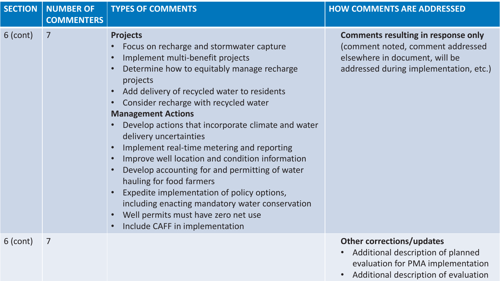| <b>SECTION</b> | <b>NUMBER OF</b><br><b>COMMENTERS</b> | <b>TYPES OF COMMENTS</b>                                                                                                                                                                                                                                                                                                                                                                                                                                                                                                                                                                                                                                                                                                                          | <b>HOW COMMENTS ARE ADDRESSED</b>                                                                                                                           |
|----------------|---------------------------------------|---------------------------------------------------------------------------------------------------------------------------------------------------------------------------------------------------------------------------------------------------------------------------------------------------------------------------------------------------------------------------------------------------------------------------------------------------------------------------------------------------------------------------------------------------------------------------------------------------------------------------------------------------------------------------------------------------------------------------------------------------|-------------------------------------------------------------------------------------------------------------------------------------------------------------|
| $6$ (cont)     | 7                                     | <b>Projects</b><br>Focus on recharge and stormwater capture<br>Implement multi-benefit projects<br>$\bullet$<br>Determine how to equitably manage recharge<br>projects<br>Add delivery of recycled water to residents<br>Consider recharge with recycled water<br><b>Management Actions</b><br>Develop actions that incorporate climate and water<br>delivery uncertainties<br>Implement real-time metering and reporting<br>Improve well location and condition information<br>Develop accounting for and permitting of water<br>hauling for food farmers<br>Expedite implementation of policy options,<br>including enacting mandatory water conservation<br>Well permits must have zero net use<br>$\bullet$<br>Include CAFF in implementation | <b>Comments resulting in response only</b><br>(comment noted, comment addressed<br>elsewhere in document, will be<br>addressed during implementation, etc.) |
| $6$ (cont)     | $\overline{7}$                        |                                                                                                                                                                                                                                                                                                                                                                                                                                                                                                                                                                                                                                                                                                                                                   | <b>Other corrections/updates</b><br>Additional description of planned<br>$\bullet$<br>evaluation for PMA implementation                                     |

**11/10/2021 PETALUMAVALLEY PETALUMAVALLEY CONSUMING 12 Additional description of evaluation**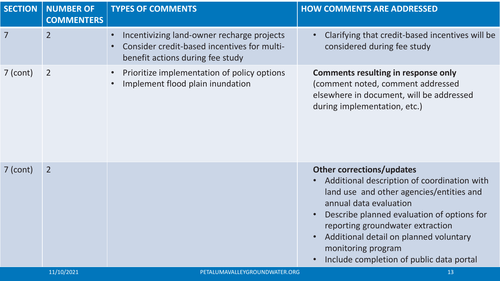| <b>SECTION</b> | <b>NUMBER OF</b><br><b>COMMENTERS</b> | <b>TYPES OF COMMENTS</b>                                                                                                                   | <b>HOW COMMENTS ARE ADDRESSED</b>                                                                                                                                                                                                                                                                                                                   |
|----------------|---------------------------------------|--------------------------------------------------------------------------------------------------------------------------------------------|-----------------------------------------------------------------------------------------------------------------------------------------------------------------------------------------------------------------------------------------------------------------------------------------------------------------------------------------------------|
| $\overline{7}$ | $\overline{2}$                        | Incentivizing land-owner recharge projects<br>$\bullet$<br>Consider credit-based incentives for multi-<br>benefit actions during fee study | Clarifying that credit-based incentives will be<br>considered during fee study                                                                                                                                                                                                                                                                      |
| $7$ (cont)     | $\overline{2}$                        | Prioritize implementation of policy options<br>$\bullet$<br>Implement flood plain inundation<br>$\bullet$                                  | <b>Comments resulting in response only</b><br>(comment noted, comment addressed<br>elsewhere in document, will be addressed<br>during implementation, etc.)                                                                                                                                                                                         |
| $7$ (cont)     | $\overline{2}$                        |                                                                                                                                            | <b>Other corrections/updates</b><br>Additional description of coordination with<br>land use and other agencies/entities and<br>annual data evaluation<br>Describe planned evaluation of options for<br>reporting groundwater extraction<br>Additional detail on planned voluntary<br>monitoring program<br>Include completion of public data portal |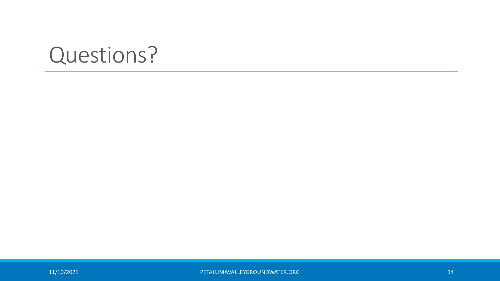# Questions?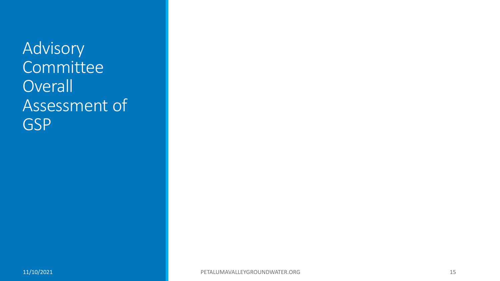Advisory **Committee Overall** Assessment of GSP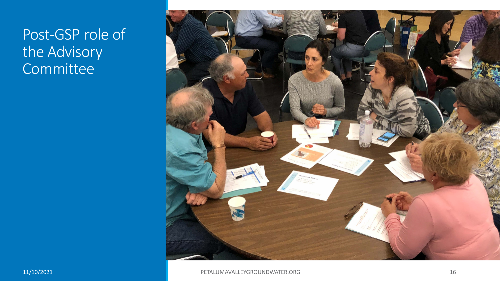#### Post-GSP role of the Advisory **Committee**

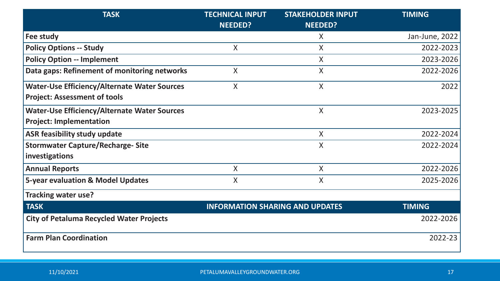| <b>TASK</b>                                         | <b>TECHNICAL INPUT</b>                 | <b>STAKEHOLDER INPUT</b> | <b>TIMING</b>  |
|-----------------------------------------------------|----------------------------------------|--------------------------|----------------|
|                                                     | <b>NEEDED?</b>                         | <b>NEEDED?</b>           |                |
| Fee study                                           |                                        | $\sf X$                  | Jan-June, 2022 |
| <b>Policy Options -- Study</b>                      | X                                      | X                        | 2022-2023      |
| <b>Policy Option -- Implement</b>                   |                                        | $\sf X$                  | 2023-2026      |
| Data gaps: Refinement of monitoring networks        | $\sf X$                                | X                        | 2022-2026      |
| <b>Water-Use Efficiency/Alternate Water Sources</b> | X                                      | $\sf X$                  | 2022           |
| <b>Project: Assessment of tools</b>                 |                                        |                          |                |
| <b>Water-Use Efficiency/Alternate Water Sources</b> |                                        | X                        | 2023-2025      |
| <b>Project: Implementation</b>                      |                                        |                          |                |
| <b>ASR feasibility study update</b>                 |                                        | $\sf X$                  | 2022-2024      |
| <b>Stormwater Capture/Recharge- Site</b>            |                                        | X                        | 2022-2024      |
| investigations                                      |                                        |                          |                |
| <b>Annual Reports</b>                               | X                                      | $\sf X$                  | 2022-2026      |
| <b>5-year evaluation &amp; Model Updates</b>        | $\sf X$                                | X                        | 2025-2026      |
| <b>Tracking water use?</b>                          |                                        |                          |                |
| <b>TASK</b>                                         | <b>INFORMATION SHARING AND UPDATES</b> |                          | <b>TIMING</b>  |
| <b>City of Petaluma Recycled Water Projects</b>     |                                        |                          | 2022-2026      |
| <b>Farm Plan Coordination</b>                       |                                        |                          | 2022-23        |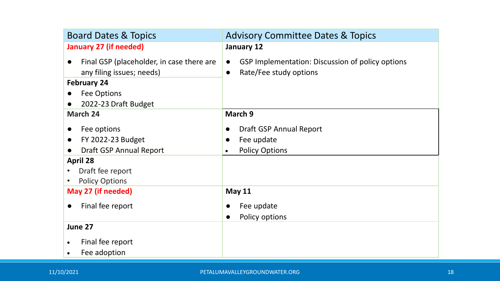| <b>Board Dates &amp; Topics</b>                        | <b>Advisory Committee Dates &amp; Topics</b>     |
|--------------------------------------------------------|--------------------------------------------------|
| <b>January 27 (if needed)</b>                          | January 12                                       |
| Final GSP (placeholder, in case there are<br>$\bullet$ | GSP Implementation: Discussion of policy options |
| any filing issues; needs)                              | Rate/Fee study options                           |
| <b>February 24</b>                                     |                                                  |
| Fee Options                                            |                                                  |
| 2022-23 Draft Budget<br>$\bullet$                      |                                                  |
| March 24                                               | March 9                                          |
| Fee options<br>$\bullet$                               | Draft GSP Annual Report                          |
| FY 2022-23 Budget<br>$\bullet$                         | Fee update<br>$\bullet$                          |
| Draft GSP Annual Report                                | <b>Policy Options</b><br>$\bullet$               |
| <b>April 28</b>                                        |                                                  |
| Draft fee report                                       |                                                  |
| <b>Policy Options</b>                                  |                                                  |
| May 27 (if needed)                                     | <b>May 11</b>                                    |
| Final fee report<br>$\bullet$                          | Fee update                                       |
|                                                        | Policy options                                   |
| June 27                                                |                                                  |
| Final fee report                                       |                                                  |
| Fee adoption                                           |                                                  |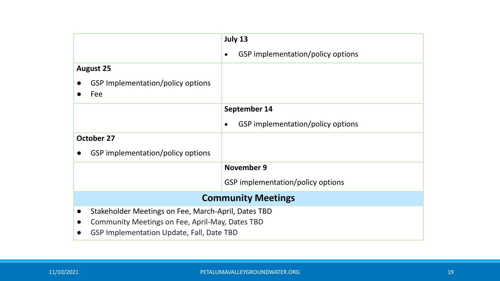|                   |                                                     |           | July 13                           |
|-------------------|-----------------------------------------------------|-----------|-----------------------------------|
|                   |                                                     | $\bullet$ | GSP implementation/policy options |
|                   | <b>August 25</b>                                    |           |                                   |
|                   | GSP Implementation/policy options                   |           |                                   |
|                   | Fee                                                 |           |                                   |
|                   |                                                     |           | September 14                      |
|                   |                                                     | $\bullet$ | GSP implementation/policy options |
| <b>October 27</b> |                                                     |           |                                   |
|                   | GSP implementation/policy options                   |           |                                   |
|                   |                                                     |           | <b>November 9</b>                 |
|                   |                                                     |           | GSP implementation/policy options |
|                   | <b>Community Meetings</b>                           |           |                                   |
| $\bullet$         | Stakeholder Meetings on Fee, March-April, Dates TBD |           |                                   |
| $\bullet$         | Community Meetings on Fee, April-May, Dates TBD     |           |                                   |
|                   | GSP Implementation Update, Fall, Date TBD           |           |                                   |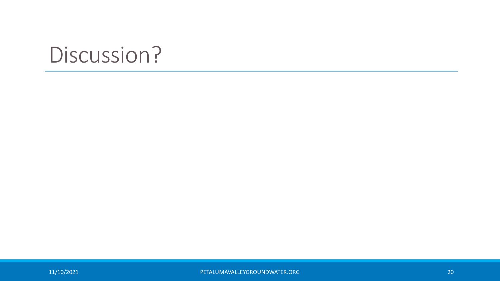# Discussion?